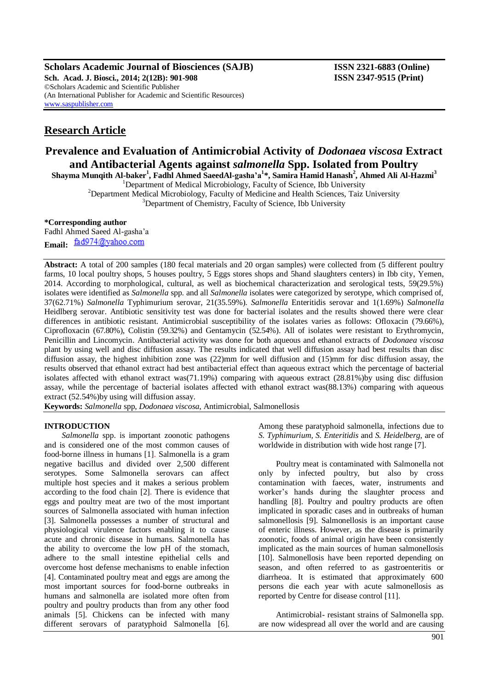**Scholars Academic Journal of Biosciences (SAJB) ISSN 2321-6883 (Online) Sch. Acad. J. Biosci., 2014; 2(12B): 901-908 ISSN 2347-9515 (Print)** ©Scholars Academic and Scientific Publisher (An International Publisher for Academic and Scientific Resources) [www.saspublisher.com](http://www.saspublisher.com/)

# **Research Article**

# **Prevalence and Evaluation of Antimicrobial Activity of** *Dodonaea viscosa* **Extract and Antibacterial Agents against** *salmonella* **Spp. Isolated from Poultry**

**Shayma Munqith Al-baker<sup>1</sup> , Fadhl Ahmed SaeedAl-gasha'a<sup>1</sup> \*, Samira Hamid Hanash<sup>2</sup> , Ahmed Ali Al-Hazmi<sup>3</sup>**

 $1$ Department of Medical Microbiology, Faculty of Science, Ibb University

<sup>2</sup>Department Medical Microbiology, Faculty of Medicine and Health Sciences, Taiz University <sup>3</sup>Department of Chemistry, Faculty of Science, Ibb University

#### **\*Corresponding author**

Fadhl Ahmed Saeed Al-gasha'a Email: fad974@yahoo.com

**Abstract:** A total of 200 samples (180 fecal materials and 20 organ samples) were collected from (5 different poultry farms, 10 local poultry shops, 5 houses poultry, 5 Eggs stores shops and 5hand slaughters centers) in Ibb city, Yemen, 2014. According to morphological, cultural, as well as biochemical characterization and serological tests, 59(29.5%) isolates were identified as *Salmonella* spp. and all *Salmonella* isolates were categorized by serotype, which comprised of, 37(62.71%) *Salmonella* Typhimurium serovar, 21(35.59%). *Salmonella* Enteritidis serovar and 1(1.69%) *Salmonella* Heidlberg serovar. Antibiotic sensitivity test was done for bacterial isolates and the results showed there were clear differences in antibiotic resistant. Antimicrobial susceptibility of the isolates varies as follows: Ofloxacin (79.66%), Ciprofloxacin (67.80%), Colistin (59.32%) and Gentamycin (52.54%). All of isolates were resistant to Erythromycin, Penicillin and Lincomycin. Antibacterial activity was done for both aqueous and ethanol extracts of *Dodonaea viscosa* plant by using well and disc diffusion assay. The results indicated that well diffusion assay had best results than disc diffusion assay, the highest inhibition zone was (22)mm for well diffusion and (15)mm for disc diffusion assay, the results observed that ethanol extract had best antibacterial effect than aqueous extract which the percentage of bacterial isolates affected with ethanol extract was(71.19%) comparing with aqueous extract (28.81%)by using disc diffusion assay, while the percentage of bacterial isolates affected with ethanol extract was(88.13%) comparing with aqueous extract (52.54%)by using will diffusion assay.

**Keywords:** *Salmonella* spp, *Dodonaea viscosa*, Antimicrobial, Salmonellosis

## **INTRODUCTION**

*Salmonella* spp. is important zoonotic pathogens and is considered one of the most common causes of food-borne illness in humans [1]. Salmonella is a gram negative bacillus and divided over 2,500 different serotypes. Some Salmonella serovars can affect multiple host species and it makes a serious problem according to the food chain [2]. There is evidence that eggs and poultry meat are two of the most important sources of Salmonella associated with human infection [3]. Salmonella possesses a number of structural and physiological virulence factors enabling it to cause acute and chronic disease in humans. Salmonella has the ability to overcome the low pH of the stomach, adhere to the small intestine epithelial cells and overcome host defense mechanisms to enable infection [4]. Contaminated poultry meat and eggs are among the most important sources for food-borne outbreaks in humans and salmonella are isolated more often from poultry and poultry products than from any other food animals [5]. Chickens can be infected with many different serovars of paratyphoid Salmonella [6].

Among these paratyphoid salmonella, infections due to *S. Typhimurium, S. Enteritidis* and *S. Heidelberg*, are of worldwide in distribution with wide host range [7].

Poultry meat is contaminated with Salmonella not only by infected poultry, but also by cross contamination with faeces, water, instruments and worker's hands during the slaughter process and handling [8]. Poultry and poultry products are often implicated in sporadic cases and in outbreaks of human salmonellosis [9]. Salmonellosis is an important cause of enteric illness. However, as the disease is primarily zoonotic, foods of animal origin have been consistently implicated as the main sources of human salmonellosis [10]. Salmonellosis have been reported depending on season, and often referred to as gastroenteritis or diarrheoa. It is estimated that approximately 600 persons die each year with acute salmonellosis as reported by Centre for disease control [11].

Antimicrobial- resistant strains of Salmonella spp. are now widespread all over the world and are causing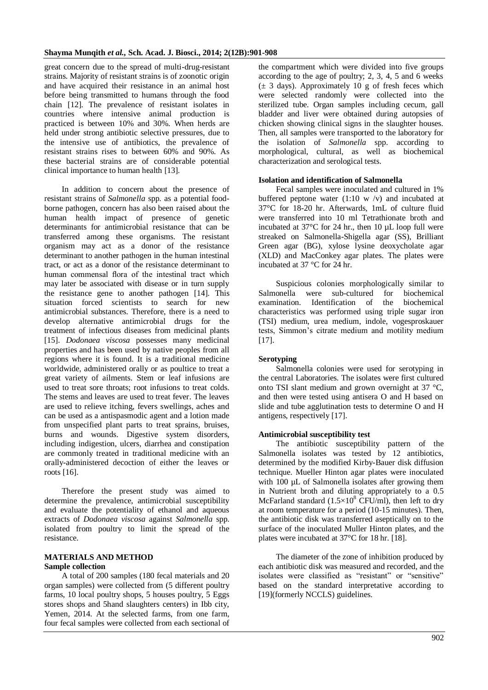great concern due to the spread of multi-drug-resistant strains. Majority of resistant strains is of zoonotic origin and have acquired their resistance in an animal host before being transmitted to humans through the food chain [12]. The prevalence of resistant isolates in countries where intensive animal production is practiced is between 10% and 30%. When herds are held under strong antibiotic selective pressures, due to the intensive use of antibiotics, the prevalence of resistant strains rises to between 60% and 90%. As these bacterial strains are of considerable potential clinical importance to human health [13].

In addition to concern about the presence of resistant strains of *Salmonella* spp. as a potential foodborne pathogen, concern has also been raised about the human health impact of presence of genetic determinants for antimicrobial resistance that can be transferred among these organisms. The resistant organism may act as a donor of the resistance determinant to another pathogen in the human intestinal tract, or act as a donor of the resistance determinant to human commensal flora of the intestinal tract which may later be associated with disease or in turn supply the resistance gene to another pathogen [14]. This situation forced scientists to search for new antimicrobial substances. Therefore, there is a need to develop alternative antimicrobial drugs for the treatment of infectious diseases from medicinal plants [15]. *Dodonaea viscosa* possesses many medicinal properties and has been used by native peoples from all regions where it is found. It is a traditional medicine worldwide, administered orally or as poultice to treat a great variety of ailments. Stem or leaf infusions are used to treat sore throats; root infusions to treat colds. The stems and leaves are used to treat fever. The leaves are used to relieve itching, fevers swellings, aches and can be used as a antispasmodic agent and a lotion made from unspecified plant parts to treat sprains, bruises, burns and wounds. Digestive system disorders, including indigestion, ulcers, diarrhea and constipation are commonly treated in traditional medicine with an orally-administered decoction of either the leaves or roots [16].

Therefore the present study was aimed to determine the prevalence, antimicrobial susceptibility and evaluate the potentiality of ethanol and aqueous extracts of *Dodonaea viscosa* against *Salmonella* spp. isolated from poultry to limit the spread of the resistance.

## **MATERIALS AND METHOD Sample collection**

A total of 200 samples (180 fecal materials and 20 organ samples) were collected from (5 different poultry farms, 10 local poultry shops, 5 houses poultry, 5 Eggs stores shops and 5hand slaughters centers) in Ibb city, Yemen, 2014. At the selected farms, from one farm, four fecal samples were collected from each sectional of

the compartment which were divided into five groups according to the age of poultry; 2, 3, 4, 5 and 6 weeks (± 3 days). Approximately 10 g of fresh feces which were selected randomly were collected into the sterilized tube. Organ samples including cecum, gall bladder and liver were obtained during autopsies of chicken showing clinical signs in the slaughter houses. Then, all samples were transported to the laboratory for the isolation of *Salmonella* spp. according to morphological, cultural, as well as biochemical characterization and serological tests.

## **Isolation and identification of Salmonella**

Fecal samples were inoculated and cultured in 1% buffered peptone water  $(1:10 \text{ w } / \text{v})$  and incubated at 37°C for 18-20 hr. Afterwards, 1mL of culture fluid were transferred into 10 ml Tetrathionate broth and incubated at  $37^{\circ}$ C for 24 hr., then 10  $\mu$ L loop full were streaked on Salmonella-Shigella agar (SS), Brilliant Green agar (BG), xylose lysine deoxycholate agar (XLD) and MacConkey agar plates. The plates were incubated at 37 °C for 24 hr.

Suspicious colonies morphologically similar to Salmonella were sub-cultured for biochemical examination. Identification of the biochemical characteristics was performed using triple sugar iron (TSI) medium, urea medium, indole, vogesproskauer tests, Simmon's citrate medium and motility medium [17].

## **Serotyping**

Salmonella colonies were used for serotyping in the central Laboratories. The isolates were first cultured onto TSI slant medium and grown overnight at 37 °C, and then were tested using antisera O and H based on slide and tube agglutination tests to determine O and H antigens, respectively [17].

## **Antimicrobial susceptibility test**

The antibiotic susceptibility pattern of the Salmonella isolates was tested by 12 antibiotics, determined by the modified Kirby-Bauer disk diffusion technique. Mueller Hinton agar plates were inoculated with 100 µL of Salmonella isolates after growing them in Nutrient broth and diluting appropriately to a 0.5 McFarland standard  $(1.5\times10^8 \text{ CFU/ml})$ , then left to dry at room temperature for a period (10-15 minutes). Then, the antibiotic disk was transferred aseptically on to the surface of the inoculated Muller Hinton plates, and the plates were incubated at 37°C for 18 hr. [18].

The diameter of the zone of inhibition produced by each antibiotic disk was measured and recorded, and the isolates were classified as "resistant" or "sensitive" based on the standard interpretative according to [19](formerly NCCLS) guidelines.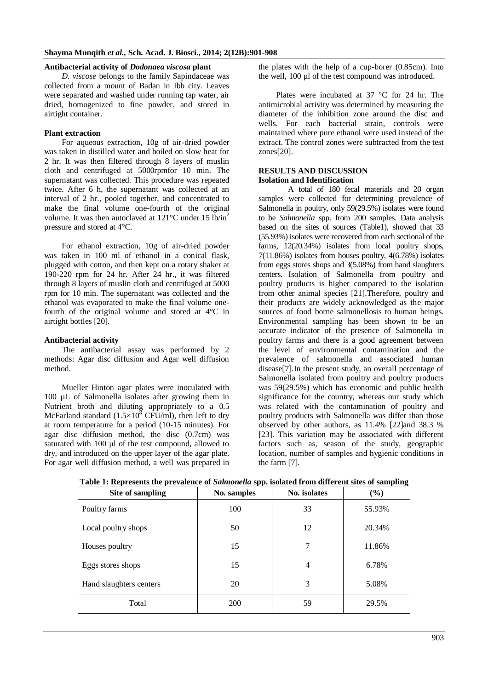#### **Antibacterial activity of** *Dodonaea viscosa* **plant**

*D. viscose* belongs to the family Sapindaceae was collected from a mount of Badan in Ibb city. Leaves were separated and washed under running tap water, air dried, homogenized to fine powder, and stored in airtight container.

#### **Plant extraction**

For aqueous extraction, 10g of air-dried powder was taken in distilled water and boiled on slow heat for 2 hr. It was then filtered through 8 layers of muslin cloth and centrifuged at 5000rpmfor 10 min. The supernatant was collected. This procedure was repeated twice. After 6 h, the supernatant was collected at an interval of 2 hr., pooled together, and concentrated to make the final volume one-fourth of the original volume. It was then autoclaved at  $121^{\circ}$ C under 15 lb/in<sup>2</sup> pressure and stored at 4°C.

For ethanol extraction, 10g of air-dried powder was taken in 100 ml of ethanol in a conical flask, plugged with cotton, and then kept on a rotary shaker at 190-220 rpm for 24 hr. After 24 hr., it was filtered through 8 layers of muslin cloth and centrifuged at 5000 rpm for 10 min. The supernatant was collected and the ethanol was evaporated to make the final volume onefourth of the original volume and stored at 4°C in airtight bottles [20].

#### **Antibacterial activity**

The antibacterial assay was performed by 2 methods: Agar disc diffusion and Agar well diffusion method.

Mueller Hinton agar plates were inoculated with 100 µL of Salmonella isolates after growing them in Nutrient broth and diluting appropriately to a 0.5 McFarland standard  $(1.5\times10^8$  CFU/ml), then left to dry at room temperature for a period (10-15 minutes). For agar disc diffusion method, the disc (0.7cm) was saturated with 100 µl of the test compound, allowed to dry, and introduced on the upper layer of the agar plate. For agar well diffusion method, a well was prepared in

the plates with the help of a cup-borer (0.85cm). Into the well, 100 µl of the test compound was introduced.

Plates were incubated at 37 °C for 24 hr. The antimicrobial activity was determined by measuring the diameter of the inhibition zone around the disc and wells. For each bacterial strain, controls were maintained where pure ethanol were used instead of the extract. The control zones were subtracted from the test zones[20].

## **RESULTS AND DISCUSSION Isolation and Identification**

A total of 180 fecal materials and 20 organ samples were collected for determining prevalence of Salmonella in poultry, only 59(29.5%) isolates were found to be *Salmonella* spp. from 200 samples. Data analysis based on the sites of sources (Table1), showed that 33 (55.93%) isolates were recovered from each sectional of the farms, 12(20.34%) isolates from local poultry shops, 7(11.86%) isolates from houses poultry, 4(6.78%) isolates from eggs stores shops and 3(5.08%) from hand slaughters centers. Isolation of Salmonella from poultry and poultry products is higher compared to the isolation from other animal species [21].Therefore, poultry and their products are widely acknowledged as the major sources of food borne salmonellosis to human beings. Environmental sampling has been shown to be an accurate indicator of the presence of Salmonella in poultry farms and there is a good agreement between the level of environmental contamination and the prevalence of salmonella and associated human disease[7].In the present study, an overall percentage of Salmonella isolated from poultry and poultry products was 59(29.5%) which has economic and public health significance for the country, whereas our study which was related with the contamination of poultry and poultry products with Salmonella was differ than those observed by other authors, as 11.4% [22]and 38.3 % [23]. This variation may be associated with different factors such as, season of the study, geographic location, number of samples and hygienic conditions in the farm [7].

| Site of sampling        | No. samples | No. isolates   | $(\%)$ |
|-------------------------|-------------|----------------|--------|
| Poultry farms           | 100         | 33             | 55.93% |
| Local poultry shops     | 50          | 12             | 20.34% |
| Houses poultry          | 15          | 7              | 11.86% |
| Eggs stores shops       | 15          | $\overline{4}$ | 6.78%  |
| Hand slaughters centers | 20          | 3              | 5.08%  |
| Total                   | 200         | 59             | 29.5%  |

**Table 1: Represents the prevalence of** *Salmonella* **spp. isolated from different sites of sampling**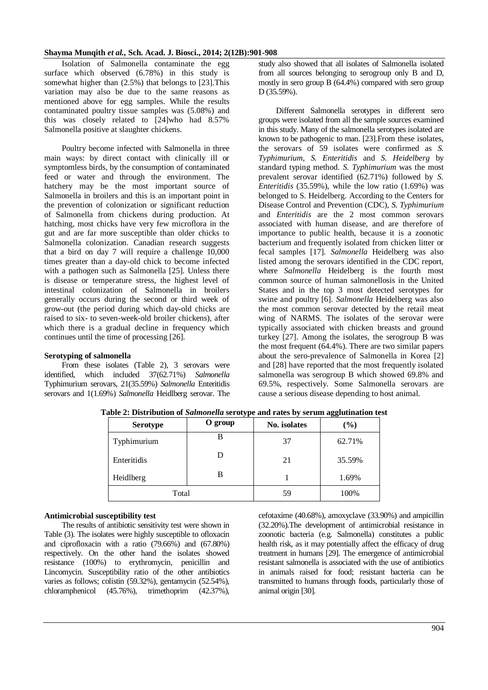Isolation of Salmonella contaminate the egg surface which observed (6.78%) in this study is somewhat higher than (2.5%) that belongs to [23].This variation may also be due to the same reasons as mentioned above for egg samples. While the results contaminated poultry tissue samples was (5.08%) and this was closely related to [24]who had 8.57% Salmonella positive at slaughter chickens.

Poultry become infected with Salmonella in three main ways: by direct contact with clinically ill or symptomless birds, by the consumption of contaminated feed or water and through the environment. The hatchery may be the most important source of Salmonella in broilers and this is an important point in the prevention of colonization or significant reduction of Salmonella from chickens during production. At hatching, most chicks have very few microflora in the gut and are far more susceptible than older chicks to Salmonella colonization. Canadian research suggests that a bird on day 7 will require a challenge 10,000 times greater than a day-old chick to become infected with a pathogen such as Salmonella [25]. Unless there is disease or temperature stress, the highest level of intestinal colonization of Salmonella in broilers generally occurs during the second or third week of grow-out (the period during which day-old chicks are raised to six- to seven-week-old broiler chickens), after which there is a gradual decline in frequency which continues until the time of processing [26].

## **Serotyping of salmonella**

From these isolates (Table 2), 3 serovars were identified, which included 37(62.71%) *Salmonella* Typhimurium serovars, 21(35.59%) *Salmonella* Enteritidis serovars and 1(1.69%) *Salmonella* Heidlberg serovar. The study also showed that all isolates of Salmonella isolated from all sources belonging to serogroup only B and D, mostly in sero group B (64.4%) compared with sero group D (35.59%).

Different Salmonella serotypes in different sero groups were isolated from all the sample sources examined in this study. Many of the salmonella serotypes isolated are known to be pathogenic to man. [23].From these isolates, the serovars of 59 isolates were confirmed as *S. Typhimurium*, *S. Enteritidis* and *S. Heidelberg* by standard typing method. *S. Typhimurium* was the most prevalent serovar identified (62.71%) followed by *S. Enteritidis* (35.59%), while the low ratio (1.69%) was belonged to S. Heidelberg. According to the Centers for Disease Control and Prevention (CDC), *S. Typhimurium* and *Enteritidis* are the 2 most common serovars associated with human disease, and are therefore of importance to public health, because it is a zoonotic bacterium and frequently isolated from chicken litter or fecal samples [17]. *Salmonella* Heidelberg was also listed among the serovars identified in the CDC report, where *Salmonella* Heidelberg is the fourth most common source of human salmonellosis in the United States and in the top 3 most detected serotypes for swine and poultry [6]. *Salmonella* Heidelberg was also the most common serovar detected by the retail meat wing of NARMS. The isolates of the serovar were typically associated with chicken breasts and ground turkey [27]. Among the isolates, the serogroup B was the most frequent (64.4%). There are two similar papers about the sero-prevalence of Salmonella in Korea [2] and [28] have reported that the most frequently isolated salmonella was serogroup B which showed 69.8% and 69.5%, respectively. Some Salmonella serovars are cause a serious disease depending to host animal.

| <b>Serotype</b> | O group | No. isolates | $(\%)$ |
|-----------------|---------|--------------|--------|
| Typhimurium     | В       | 37           | 62.71% |
| Enteritidis     | D       | 21           | 35.59% |
| В<br>Heidlberg  |         |              | 1.69%  |
| Total           |         | 59           | 100%   |

**Table 2: Distribution of** *Salmonella* **serotype and rates by serum agglutination test**

## **Antimicrobial susceptibility test**

The results of antibiotic sensitivity test were shown in Table (3). The isolates were highly susceptible to ofloxacin and ciprofloxacin with a ratio (79.66%) and (67.80%) respectively. On the other hand the isolates showed resistance (100%) to erythromycin, penicillin and Lincomycin. Susceptibility ratio of the other antibiotics varies as follows; colistin (59.32%), gentamycin (52.54%), chloramphenicol (45.76%), trimethoprim (42.37%),

cefotaxime (40.68%), amoxyclave (33.90%) and ampicillin (32.20%).The development of antimicrobial resistance in zoonotic bacteria (e.g. Salmonella) constitutes a public health risk, as it may potentially affect the efficacy of drug treatment in humans [29]. The emergence of antimicrobial resistant salmonella is associated with the use of antibiotics in animals raised for food; resistant bacteria can be transmitted to humans through foods, particularly those of animal origin [30].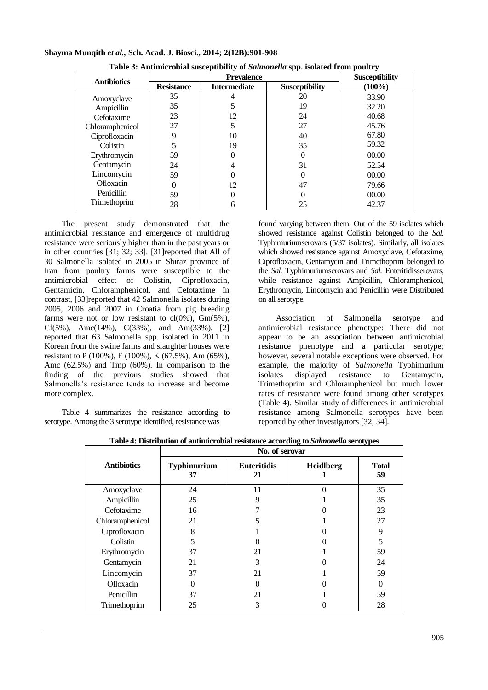| Table 3: Antimicrobial susceptibility of Salmonella spp. isolated from poultry |                   |                       |                       |           |  |
|--------------------------------------------------------------------------------|-------------------|-----------------------|-----------------------|-----------|--|
| <b>Antibiotics</b>                                                             |                   | <b>Susceptibility</b> |                       |           |  |
|                                                                                | <b>Resistance</b> | <b>Intermediate</b>   | <b>Susceptibility</b> | $(100\%)$ |  |
| Amoxyclave                                                                     | 35                |                       | 20                    | 33.90     |  |
| Ampicillin                                                                     | 35                | 5                     | 19                    | 32.20     |  |
| Cefotaxime                                                                     | 23                | 12                    | 24                    | 40.68     |  |
| Chloramphenicol                                                                | 27                | 5                     | 27                    | 45.76     |  |
| Ciprofloxacin                                                                  |                   | 10                    | 40                    | 67.80     |  |
| Colistin                                                                       |                   | 19                    | 35                    | 59.32     |  |
| Erythromycin                                                                   | 59                |                       | $\theta$              | 00.00     |  |
| Gentamycin                                                                     | 24                | 4                     | 31                    | 52.54     |  |
| Lincomycin                                                                     | 59                |                       | $\theta$              | 00.00     |  |
| Ofloxacin                                                                      | 0                 | 12                    | 47                    | 79.66     |  |
| Penicillin                                                                     | 59                |                       | 0                     | 00.00     |  |
| Trimethoprim                                                                   | 28                | 6                     | 25                    | 42.37     |  |

The present study demonstrated that the antimicrobial resistance and emergence of multidrug resistance were seriously higher than in the past years or in other countries [31; 32; 33]. [31]reported that All of 30 Salmonella isolated in 2005 in Shiraz province of Iran from poultry farms were susceptible to the antimicrobial effect of Colistin, Ciprofloxacin, Gentamicin, Chloramphenicol, and Cefotaxime In contrast, [33]reported that 42 Salmonella isolates during 2005, 2006 and 2007 in Croatia from pig breeding farms were not or low resistant to  $cl(0\%)$ ,  $Gm(5\%)$ , Cf(5%), Amc(14%), C(33%), and Am(33%). [2] reported that 63 Salmonella spp. isolated in 2011 in Korean from the swine farms and slaughter houses were resistant to P (100%), E (100%), K (67.5%), Am (65%), Amc (62.5%) and Tmp (60%). In comparison to the finding of the previous studies showed that Salmonella's resistance tends to increase and become more complex.

Table 4 summarizes the resistance according to serotype. Among the 3 serotype identified, resistance was

found varying between them. Out of the 59 isolates which showed resistance against Colistin belonged to the *Sal.* Typhimuriumserovars (5/37 isolates). Similarly, all isolates which showed resistance against Amoxyclave, Cefotaxime, Ciprofloxacin, Gentamycin and Trimethoprim belonged to the *Sal.* Typhimuriumserovars and *Sal.* Enteritidisserovars, while resistance against Ampicillin, Chloramphenicol, Erythromycin, Lincomycin and Penicillin were Distributed on all serotype.

Association of Salmonella serotype and antimicrobial resistance phenotype: There did not appear to be an association between antimicrobial resistance phenotype and a particular serotype; however, several notable exceptions were observed. For example, the majority of *Salmonella* Typhimurium isolates displayed resistance to Gentamycin, Trimethoprim and Chloramphenicol but much lower rates of resistance were found among other serotypes (Table 4). Similar study of differences in antimicrobial resistance among Salmonella serotypes have been reported by other investigators [32, 34].

|                    | No. of serovar           |                          |           |                    |  |  |
|--------------------|--------------------------|--------------------------|-----------|--------------------|--|--|
| <b>Antibiotics</b> | <b>Typhimurium</b><br>37 | <b>Enteritidis</b><br>21 | Heidlberg | <b>Total</b><br>59 |  |  |
| Amoxyclave         | 24                       | 11                       |           | 35                 |  |  |
| Ampicillin         | 25                       | 9                        |           | 35                 |  |  |
| Cefotaxime         | 16                       |                          |           | 23                 |  |  |
| Chloramphenicol    | 21                       |                          |           | 27                 |  |  |
| Ciprofloxacin      | 8                        |                          |           | 9                  |  |  |
| Colistin           | 5                        |                          |           | 5                  |  |  |
| Erythromycin       | 37                       | 21                       |           | 59                 |  |  |
| Gentamycin         | 21                       | 3                        |           | 24                 |  |  |
| Lincomycin         | 37                       | 21                       |           | 59                 |  |  |
| Ofloxacin          | 0                        |                          |           | 0                  |  |  |
| Penicillin         | 37                       | 21                       |           | 59                 |  |  |
| Trimethoprim       | 25                       | 3                        |           | 28                 |  |  |

**Table 4: Distribution of antimicrobial resistance according to** *Salmonella* **serotypes**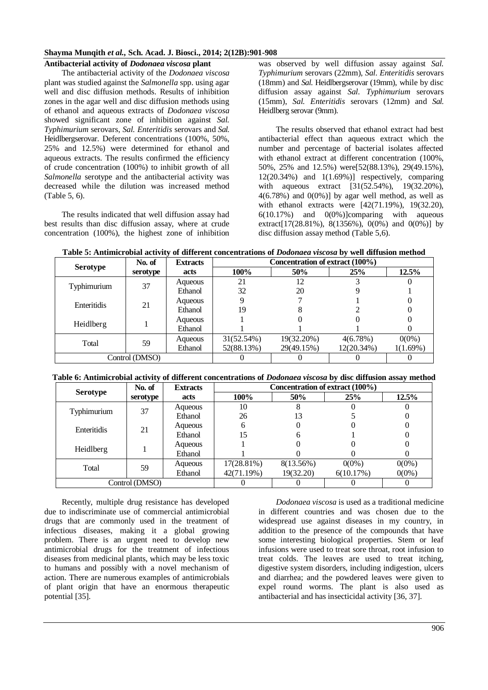## **Antibacterial activity of** *Dodonaea viscosa* **plant**

The antibacterial activity of the *Dodonaea viscosa* plant was studied against the *Salmonella* spp. using agar well and disc diffusion methods. Results of inhibition zones in the agar well and disc diffusion methods using of ethanol and aqueous extracts of *Dodonaea viscosa* showed significant zone of inhibition against *Sal. Typhimurium* serovars, *Sal. Enteritidis* serovars and *Sal.* Heidlbergserovar. Deferent concentrations (100%, 50%, 25% and 12.5%) were determined for ethanol and aqueous extracts. The results confirmed the efficiency of crude concentration (100%) to inhibit growth of all *Salmonella* serotype and the antibacterial activity was decreased while the dilution was increased method (Table 5, 6).

The results indicated that well diffusion assay had best results than disc diffusion assay, where at crude concentration (100%), the highest zone of inhibition was observed by well diffusion assay against *Sal. Typhimurium* serovars (22mm), *Sal. Enteritidis* serovars (18mm) and *Sal.* Heidlbergserovar (19mm), while by disc diffusion assay against *Sal. Typhimurium* serovars (15mm), *Sal. Enteritidis* serovars (12mm) and *Sal.* Heidlberg serovar (9mm).

The results observed that ethanol extract had best antibacterial effect than aqueous extract which the number and percentage of bacterial isolates affected with ethanol extract at different concentration (100%, 50%, 25% and 12.5%) were[52(88.13%), 29(49.15%),  $12(20.34\%)$  and  $1(1.69\%)$  respectively, comparing with aqueous extract [31(52.54%), 19(32.20%),  $4(6.78\%)$  and  $0(0\%)$ ] by agar well method, as well as with ethanol extracts were [42(71.19%), 19(32.20), 6(10.17%) and 0(0%)]comparing with aqueous extract[17(28.81%), 8(1356%), 0(0%) and 0(0%)] by disc diffusion assay method (Table 5,6).

|  |  | Table 5: Antimicrobial activity of different concentrations of <i>Dodonaea viscosa</i> by well diffusion method |
|--|--|-----------------------------------------------------------------------------------------------------------------|
|--|--|-----------------------------------------------------------------------------------------------------------------|

|                 | No. of         | <b>Extracts</b> | Concentration of extract (100%) |            |            |          |
|-----------------|----------------|-----------------|---------------------------------|------------|------------|----------|
| <b>Serotype</b> | serotype       | acts            | 100%                            | 50%        | 25%        | 12.5%    |
| Typhimurium     | 37             | Aqueous         | 21                              | 12         |            |          |
|                 |                | Ethanol         | 32                              | 20         |            |          |
| Enteritidis     | 21             | Aqueous         |                                 |            |            |          |
|                 |                | Ethanol         | 19                              |            |            |          |
| Heidlberg       |                | Aqueous         |                                 |            |            |          |
|                 |                | Ethanol         |                                 |            |            |          |
| Total           | 59             | Aqueous         | 31(52.54%)                      | 19(32.20%) | 4(6.78%)   | $0(0\%)$ |
|                 |                | Ethanol         | 52(88.13%)                      | 29(49.15%) | 12(20.34%) | 1(1.69%) |
|                 | Control (DMSO) |                 |                                 |            |            |          |

# **Table 6: Antimicrobial activity of different concentrations of** *Dodonaea viscosa* **by disc diffusion assay method**

|                 | No. of         | <b>Extracts</b> | Concentration of extract (100%) |           |           |          |
|-----------------|----------------|-----------------|---------------------------------|-----------|-----------|----------|
| <b>Serotype</b> | serotype       | acts            | 100%                            | 50%       | 25%       | 12.5%    |
| Typhimurium     | 37             | Aqueous         | 10                              |           |           |          |
|                 |                | Ethanol         | 26                              | 13        |           |          |
| Enteritidis     | 21             | Aqueous         |                                 |           |           |          |
|                 |                | Ethanol         | 15                              |           |           |          |
| Heidlberg       | Aqueous        |                 |                                 |           |           |          |
|                 |                | Ethanol         |                                 |           |           |          |
| Total           | 59             | Aqueous         | 17(28.81%)                      | 8(13.56%) | $0(0\%)$  | $0(0\%)$ |
|                 |                | Ethanol         | 42(71.19%)                      | 19(32.20) | 6(10.17%) | $0(0\%)$ |
|                 | Control (DMSO) |                 |                                 |           |           |          |

Recently, multiple drug resistance has developed due to indiscriminate use of commercial antimicrobial drugs that are commonly used in the treatment of infectious diseases, making it a global growing problem. There is an urgent need to develop new antimicrobial drugs for the treatment of infectious diseases from medicinal plants, which may be less toxic to humans and possibly with a novel mechanism of action. There are numerous examples of antimicrobials of plant origin that have an enormous therapeutic potential [35].

*Dodonaea viscosa* is used as a traditional medicine in different countries and was chosen due to the widespread use against diseases in my country, in addition to the presence of the compounds that have some interesting biological properties. Stem or leaf infusions were used to treat sore throat, root infusion to treat colds. The leaves are used to treat itching, digestive system disorders, including indigestion, ulcers and diarrhea; and the powdered leaves were given to expel round worms. The plant is also used as antibacterial and has insecticidal activity [36, 37].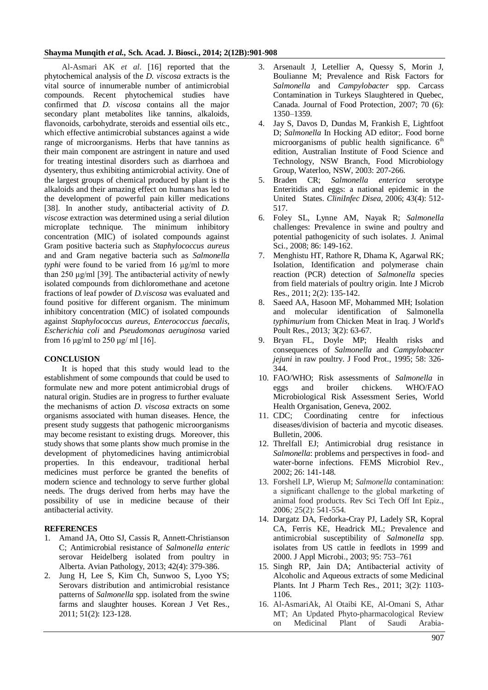Al-Asmari AK *et al*. [16] reported that the phytochemical analysis of the *D. viscosa* extracts is the vital source of innumerable number of antimicrobial compounds. Recent phytochemical studies have confirmed that *D. viscosa* contains all the major secondary plant metabolites like tannins, alkaloids, flavonoids, carbohydrate, steroids and essential oils etc., which effective antimicrobial substances against a wide range of microorganisms. Herbs that have tannins as their main component are astringent in nature and used for treating intestinal disorders such as diarrhoea and dysentery, thus exhibiting antimicrobial activity. One of the largest groups of chemical produced by plant is the alkaloids and their amazing effect on humans has led to the development of powerful pain killer medications [38]. In another study, antibacterial activity of *D*. *viscose* extraction was determined using a serial dilution microplate technique. The minimum inhibitory concentration (MIC) of isolated compounds against Gram positive bacteria such as *Staphylococcus aureus* and and Gram negative bacteria such as *Salmonella typhi* were found to be varied from 16 μg/ml to more than 250 μg/ml [39]. The antibacterial activity of newly isolated compounds from dichloromethane and acetone fractions of leaf powder of *D.viscosa* was evaluated and found positive for different organism. The minimum inhibitory concentration (MIC) of isolated compounds against *Staphylococcus aureus*, *Enterococcus faecalis*, *Escherichia coli* and *Pseudomonas aeruginosa* varied from 16 μg/ml to 250 μg/ ml [16].

#### **CONCLUSION**

It is hoped that this study would lead to the establishment of some compounds that could be used to formulate new and more potent antimicrobial drugs of natural origin. Studies are in progress to further evaluate the mechanisms of action *D. viscosa* extracts on some organisms associated with human diseases. Hence, the present study suggests that pathogenic microorganisms may become resistant to existing drugs. Moreover, this study shows that some plants show much promise in the development of phytomedicines having antimicrobial properties. In this endeavour, traditional herbal medicines must perforce be granted the benefits of modern science and technology to serve further global needs. The drugs derived from herbs may have the possibility of use in medicine because of their antibacterial activity.

#### **REFERENCES**

- 1. Amand JA, Otto SJ, Cassis R, Annett-Christianson C; Antimicrobial resistance of *Salmonella enteric*  serovar Heidelberg isolated from poultry in Alberta. Avian Pathology, 2013; 42(4): 379-386.
- 2. Jung H, Lee S, Kim Ch, Sunwoo S, Lyoo YS; Serovars distribution and antimicrobial resistance patterns of *Salmonella* spp. isolated from the swine farms and slaughter houses. Korean J Vet Res., 2011; 51(2): 123-128.
- 3. Arsenault J, Letellier A, Quessy S, Morin J, Boulianne M; Prevalence and Risk Factors for *Salmonella* and *Campylobacter* spp. Carcass Contamination in Turkeys Slaughtered in Quebec, Canada. Journal of Food Protection*,* 2007; 70 (6): 1350–1359*.*
- 4. Jay S, Davos D, Dundas M, Frankish E, Lightfoot D; *Salmonella* In Hocking AD editor;. Food borne microorganisms of public health significance.  $6<sup>th</sup>$ edition, Australian Institute of Food Science and Technology, NSW Branch, Food Microbiology Group, Waterloo, NSW, 2003: 207-266.
- 5. Braden CR; *Salmonella enterica* serotype Enteritidis and eggs: a national epidemic in the United States. *CliniInfec Disea,* 2006; 43(4): 512- 517.
- 6. Foley SL, Lynne AM, Nayak R; *Salmonella*  challenges: Prevalence in swine and poultry and potential pathogenicity of such isolates. J. Animal Sci., 2008; 86: 149-162.
- 7. Menghistu HT, Rathore R, Dhama K, Agarwal RK; Isolation, Identification and polymerase chain reaction (PCR) detection of *Salmonella* species from field materials of poultry origin. Inte J Microb Res., 2011; 2(2): 135-142.
- 8. Saeed AA, Hasoon MF, Mohammed MH; Isolation and molecular identification of Salmonella *typhimurium* from Chicken Meat in Iraq. J World's Poult Res., 2013*;* 3(2): 63-67.
- 9. Bryan FL, Doyle MP; Health risks and consequences of *Salmonella* and *Campylobacter jejuni* in raw poultry. J Food Prot., 1995; 58: 326- 344.
- 10. FAO/WHO; Risk assessments of *Salmonella* in eggs and broiler chickens. WHO/FAO Microbiological Risk Assessment Series, World Health Organisation, Geneva, 2002.
- 11. CDC; Coordinating centre for infectious diseases/division of bacteria and mycotic diseases. Bulletin, 2006.
- 12. Threlfall EJ; Antimicrobial drug resistance in *Salmonella*: problems and perspectives in food- and water-borne infections. FEMS Microbiol Rev., 2002; 26: 141-148.
- 13. Forshell LP, Wierup M; *Salmonella* contamination: a significant challenge to the global marketing of animal food products. Rev Sci Tech Off Int Epiz., 2006*;* 25(2): 541-554.
- 14. Dargatz DA, Fedorka-Cray PJ, Ladely SR, Kopral CA, Ferris KE, Headrick ML; Prevalence and antimicrobial susceptibility of *Salmonella* spp. isolates from US cattle in feedlots in 1999 and 2000. J Appl Microbi., 2003; 95: 753–761
- 15. Singh RP, Jain DA; Antibacterial activity of Alcoholic and Aqueous extracts of some Medicinal Plants. Int J Pharm Tech Res., 2011; 3(2): 1103- 1106.
- 16. Al-AsmariAk, Al Otaibi KE, Al-Omani S, Athar MT; An Updated Phyto-pharmacological Review on Medicinal Plant of Saudi Arabia-